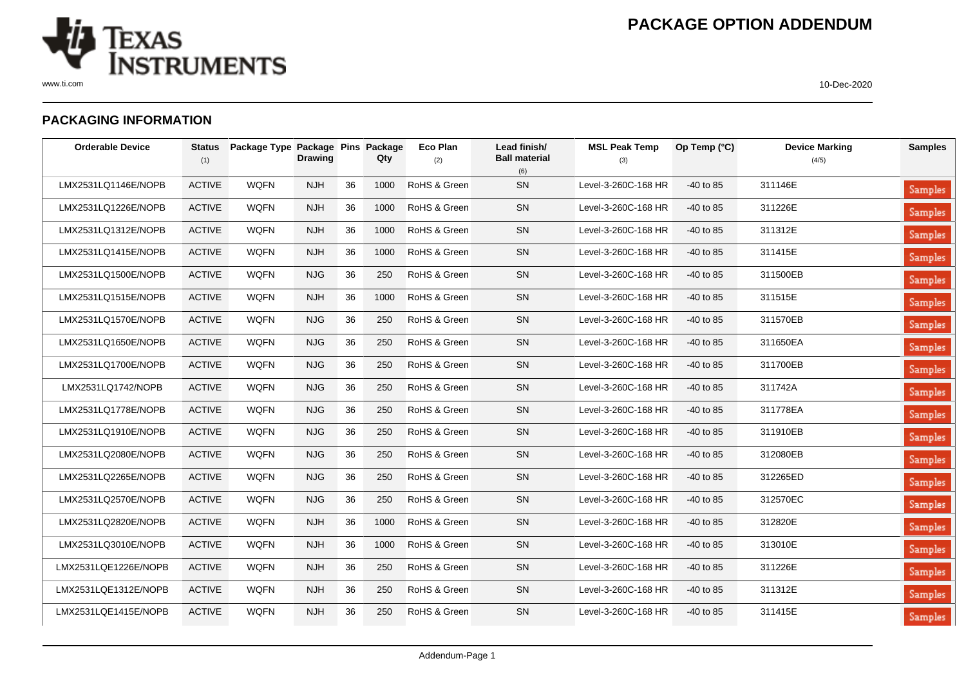

## **PACKAGING INFORMATION**

| <b>Orderable Device</b> | Status<br>(1) | Package Type Package Pins Package | <b>Drawing</b> |    | Qty  | Eco Plan<br>(2) | Lead finish/<br><b>Ball material</b><br>(6) | <b>MSL Peak Temp</b><br>(3) | Op Temp (°C) | <b>Device Marking</b><br>(4/5) | <b>Samples</b> |
|-------------------------|---------------|-----------------------------------|----------------|----|------|-----------------|---------------------------------------------|-----------------------------|--------------|--------------------------------|----------------|
| LMX2531LQ1146E/NOPB     | <b>ACTIVE</b> | <b>WQFN</b>                       | <b>NJH</b>     | 36 | 1000 | RoHS & Green    | SN                                          | Level-3-260C-168 HR         | $-40$ to 85  | 311146E                        | Samples        |
| LMX2531LQ1226E/NOPB     | <b>ACTIVE</b> | <b>WQFN</b>                       | <b>NJH</b>     | 36 | 1000 | RoHS & Green    | SN                                          | Level-3-260C-168 HR         | $-40$ to 85  | 311226E                        | <b>Samples</b> |
| LMX2531LQ1312E/NOPB     | <b>ACTIVE</b> | <b>WQFN</b>                       | <b>NJH</b>     | 36 | 1000 | RoHS & Green    | SN                                          | Level-3-260C-168 HR         | $-40$ to 85  | 311312E                        | Samples        |
| LMX2531LQ1415E/NOPB     | <b>ACTIVE</b> | <b>WQFN</b>                       | <b>NJH</b>     | 36 | 1000 | RoHS & Green    | SN                                          | Level-3-260C-168 HR         | -40 to 85    | 311415E                        | Samples        |
| LMX2531LQ1500E/NOPB     | <b>ACTIVE</b> | <b>WQFN</b>                       | <b>NJG</b>     | 36 | 250  | RoHS & Green    | SN                                          | Level-3-260C-168 HR         | $-40$ to 85  | 311500EB                       | <b>Samples</b> |
| LMX2531LQ1515E/NOPB     | <b>ACTIVE</b> | <b>WQFN</b>                       | <b>NJH</b>     | 36 | 1000 | RoHS & Green    | SN                                          | Level-3-260C-168 HR         | $-40$ to 85  | 311515E                        | Samples        |
| LMX2531LQ1570E/NOPB     | <b>ACTIVE</b> | <b>WQFN</b>                       | <b>NJG</b>     | 36 | 250  | RoHS & Green    | SN                                          | Level-3-260C-168 HR         | $-40$ to 85  | 311570EB                       | Samples        |
| LMX2531LQ1650E/NOPB     | <b>ACTIVE</b> | <b>WQFN</b>                       | <b>NJG</b>     | 36 | 250  | RoHS & Green    | SN                                          | Level-3-260C-168 HR         | $-40$ to 85  | 311650EA                       | Samples        |
| LMX2531LQ1700E/NOPB     | <b>ACTIVE</b> | <b>WQFN</b>                       | <b>NJG</b>     | 36 | 250  | RoHS & Green    | SN                                          | Level-3-260C-168 HR         | $-40$ to 85  | 311700EB                       | <b>Samples</b> |
| LMX2531LQ1742/NOPB      | <b>ACTIVE</b> | <b>WQFN</b>                       | <b>NJG</b>     | 36 | 250  | RoHS & Green    | SN                                          | Level-3-260C-168 HR         | $-40$ to 85  | 311742A                        | Samples        |
| LMX2531LQ1778E/NOPB     | <b>ACTIVE</b> | <b>WQFN</b>                       | <b>NJG</b>     | 36 | 250  | RoHS & Green    | SN                                          | Level-3-260C-168 HR         | -40 to 85    | 311778EA                       | Samples        |
| LMX2531LQ1910E/NOPB     | <b>ACTIVE</b> | <b>WQFN</b>                       | <b>NJG</b>     | 36 | 250  | RoHS & Green    | ${\sf SN}$                                  | Level-3-260C-168 HR         | -40 to 85    | 311910EB                       | Samples        |
| LMX2531LQ2080E/NOPB     | <b>ACTIVE</b> | <b>WQFN</b>                       | <b>NJG</b>     | 36 | 250  | RoHS & Green    | SN                                          | Level-3-260C-168 HR         | $-40$ to 85  | 312080EB                       | <b>Samples</b> |
| LMX2531LQ2265E/NOPB     | <b>ACTIVE</b> | <b>WQFN</b>                       | <b>NJG</b>     | 36 | 250  | RoHS & Green    | SN                                          | Level-3-260C-168 HR         | $-40$ to 85  | 312265ED                       | Samples        |
| LMX2531LQ2570E/NOPB     | <b>ACTIVE</b> | <b>WQFN</b>                       | <b>NJG</b>     | 36 | 250  | RoHS & Green    | SN                                          | Level-3-260C-168 HR         | $-40$ to 85  | 312570EC                       | Samples        |
| LMX2531LQ2820E/NOPB     | <b>ACTIVE</b> | <b>WQFN</b>                       | <b>NJH</b>     | 36 | 1000 | RoHS & Green    | SN                                          | Level-3-260C-168 HR         | $-40$ to 85  | 312820E                        | Samples        |
| LMX2531LQ3010E/NOPB     | <b>ACTIVE</b> | <b>WQFN</b>                       | <b>NJH</b>     | 36 | 1000 | RoHS & Green    | SN                                          | Level-3-260C-168 HR         | $-40$ to 85  | 313010E                        | <b>Samples</b> |
| LMX2531LQE1226E/NOPB    | <b>ACTIVE</b> | <b>WQFN</b>                       | <b>NJH</b>     | 36 | 250  | RoHS & Green    | SN                                          | Level-3-260C-168 HR         | $-40$ to 85  | 311226E                        | Samples        |
| LMX2531LQE1312E/NOPB    | <b>ACTIVE</b> | <b>WQFN</b>                       | <b>NJH</b>     | 36 | 250  | RoHS & Green    | SN                                          | Level-3-260C-168 HR         | $-40$ to 85  | 311312E                        | Samples        |
| LMX2531LQE1415E/NOPB    | <b>ACTIVE</b> | <b>WQFN</b>                       | <b>NJH</b>     | 36 | 250  | RoHS & Green    | SN                                          | Level-3-260C-168 HR         | $-40$ to 85  | 311415E                        | <b>Samples</b> |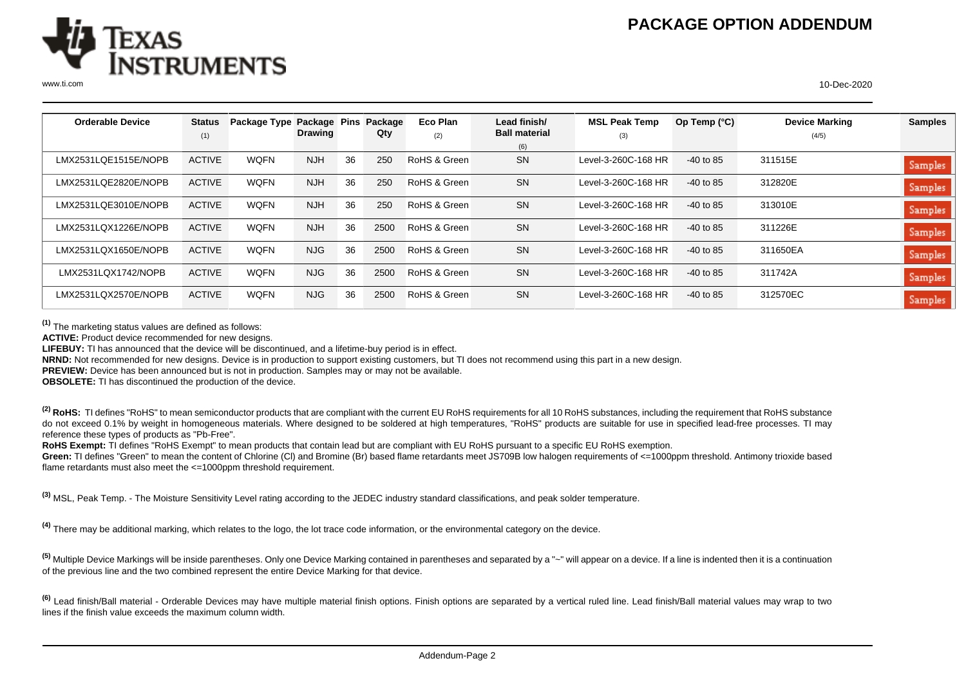

| <b>Orderable Device</b> | Status        | Package Type | Package Pins   |    | Package | <b>Eco Plan</b> | Lead finish/         | <b>MSL Peak Temp</b> | Op Temp $(^{\circ}C)$ | <b>Device Marking</b> | <b>Samples</b> |
|-------------------------|---------------|--------------|----------------|----|---------|-----------------|----------------------|----------------------|-----------------------|-----------------------|----------------|
|                         | (1)           |              | <b>Drawing</b> |    | Qty     | (2)             | <b>Ball material</b> | (3)                  |                       | (4/5)                 |                |
|                         |               |              |                |    |         |                 | (6)                  |                      |                       |                       |                |
| LMX2531LOE1515E/NOPB    | <b>ACTIVE</b> | <b>WOFN</b>  | <b>NJH</b>     | 36 | 250     | RoHS & Green    | <b>SN</b>            | Level-3-260C-168 HR  | $-40$ to 85           | 311515E               | <b>Samples</b> |
| LMX2531LQE2820E/NOPB    | <b>ACTIVE</b> | <b>WQFN</b>  | <b>NJH</b>     | 36 | 250     | RoHS & Green    | <b>SN</b>            | Level-3-260C-168 HR  | $-40$ to 85           | 312820E               | Samples        |
| LMX2531LQE3010E/NOPB    | <b>ACTIVE</b> | <b>WOFN</b>  | <b>NJH</b>     | 36 | 250     | RoHS & Green    | <b>SN</b>            | Level-3-260C-168 HR  | $-40$ to 85           | 313010E               | Samples        |
| LMX2531LQX1226E/NOPB    | <b>ACTIVE</b> | <b>WOFN</b>  | <b>NJH</b>     | 36 | 2500    | RoHS & Green    | <b>SN</b>            | Level-3-260C-168 HR  | $-40$ to 85           | 311226E               | Samples        |
| LMX2531LQX1650E/NOPB    | <b>ACTIVE</b> | <b>WOFN</b>  | NJG            | 36 | 2500    | RoHS & Green    | <b>SN</b>            | Level-3-260C-168 HR  | $-40$ to 85           | 311650EA              | Samples        |
| LMX2531LQX1742/NOPB     | <b>ACTIVE</b> | <b>WQFN</b>  | NJG            | 36 | 2500    | RoHS & Green    | <b>SN</b>            | Level-3-260C-168 HR  | $-40$ to 85           | 311742A               | Samples        |
| LMX2531LQX2570E/NOPB    | <b>ACTIVE</b> | <b>WOFN</b>  | NJG            | 36 | 2500    | RoHS & Green    | <b>SN</b>            | Level-3-260C-168 HR  | $-40$ to 85           | 312570EC              | Samples        |

**(1)** The marketing status values are defined as follows:

**ACTIVE:** Product device recommended for new designs.

**LIFEBUY:** TI has announced that the device will be discontinued, and a lifetime-buy period is in effect.

**NRND:** Not recommended for new designs. Device is in production to support existing customers, but TI does not recommend using this part in a new design.

**PREVIEW:** Device has been announced but is not in production. Samples may or may not be available.

**OBSOLETE:** TI has discontinued the production of the device.

<sup>(2)</sup> RoHS: TI defines "RoHS" to mean semiconductor products that are compliant with the current EU RoHS requirements for all 10 RoHS substances, including the requirement that RoHS substance do not exceed 0.1% by weight in homogeneous materials. Where designed to be soldered at high temperatures, "RoHS" products are suitable for use in specified lead-free processes. TI may reference these types of products as "Pb-Free".

RoHS Exempt: TI defines "RoHS Exempt" to mean products that contain lead but are compliant with EU RoHS pursuant to a specific EU RoHS exemption.

Green: TI defines "Green" to mean the content of Chlorine (CI) and Bromine (Br) based flame retardants meet JS709B low halogen requirements of <=1000ppm threshold. Antimony trioxide based flame retardants must also meet the <=1000ppm threshold requirement.

**(3)** MSL, Peak Temp. - The Moisture Sensitivity Level rating according to the JEDEC industry standard classifications, and peak solder temperature.

**(4)** There may be additional marking, which relates to the logo, the lot trace code information, or the environmental category on the device.

**(5)** Multiple Device Markings will be inside parentheses. Only one Device Marking contained in parentheses and separated by a "~" will appear on a device. If a line is indented then it is a continuation of the previous line and the two combined represent the entire Device Marking for that device.

<sup>(6)</sup> Lead finish/Ball material - Orderable Devices may have multiple material finish options. Finish options are separated by a vertical ruled line. Lead finish/Ball material values may wrap to two lines if the finish value exceeds the maximum column width.